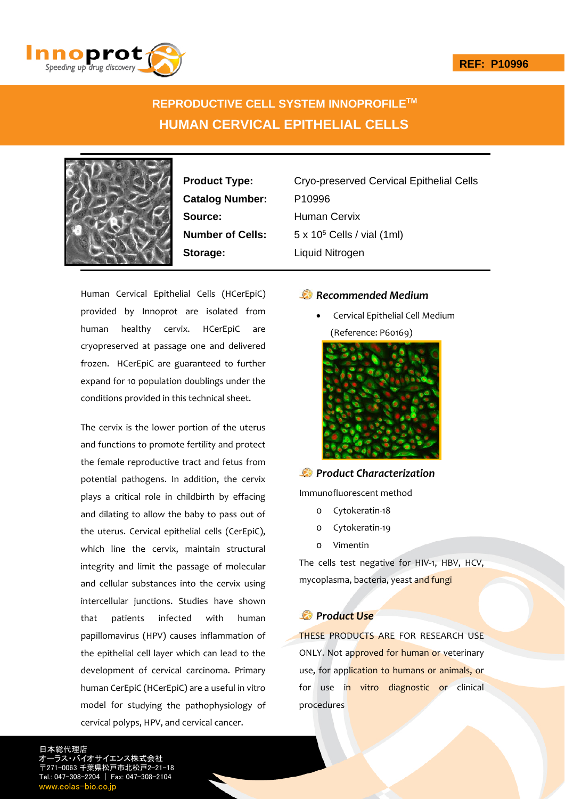

# **REPRODUCTIVE CELL SYSTEM INNOPROFILETM HUMAN CERVICAL EPITHELIAL CELLS**



**Catalog Number:** P10996 **Source:** Human Cervix **Storage:** Liquid Nitrogen

**Product Type:** Cryo-preserved Cervical Epithelial Cells **Number of Cells:** 5 x 10<sup>5</sup> Cells / vial (1ml)

Human Cervical Epithelial Cells (HCerEpiC) provided by Innoprot are isolated from human healthy cervix. HCerEpiC are cryopreserved at passage one and delivered frozen. HCerEpiC are guaranteed to further expand for 10 population doublings under the conditions provided in this technical sheet.

The cervix is the lower portion of the uterus and functions to promote fertility and protect the female reproductive tract and fetus from potential pathogens. In addition, the cervix plays a critical role in childbirth by effacing and dilating to allow the baby to pass out of the uterus. Cervical epithelial cells (CerEpiC), which line the cervix, maintain structural integrity and limit the passage of molecular and cellular substances into the cervix using intercellular junctions. Studies have shown that patients infected with human papillomavirus (HPV) causes inflammation of the epithelial cell layer which can lead to the development of cervical carcinoma. Primary human CerEpiC (HCerEpiC) are a useful in vitro model for studying the pathophysiology of cervical polyps, HPV, and cervical cancer.

# *Recommended Medium*

 Cervical Epithelial Cell Medium (Reference: P60169)



### *Product Characterization*

Immunofluorescent method

- o Cytokeratin‐18
- o Cytokeratin‐19
- o Vimentin

The cells test negative for HIV-1, HBV, HCV, mycoplasma, bacteria, yeast and fungi

# *Product Use*

THESE PRODUCTS ARE FOR RESEARCH USE ONLY. Not approved for human or veterinary use, for application to humans or animals, or for use in vitro diagnostic or clinical procedures

日本総代理店 オーラス・バイオサイエンス株式会社 〒271-0063 千葉県松戸市北松戸2-21-18 Tel.: 047-308-2204 | Fax: 047-308-2104 w.eolas-bio.co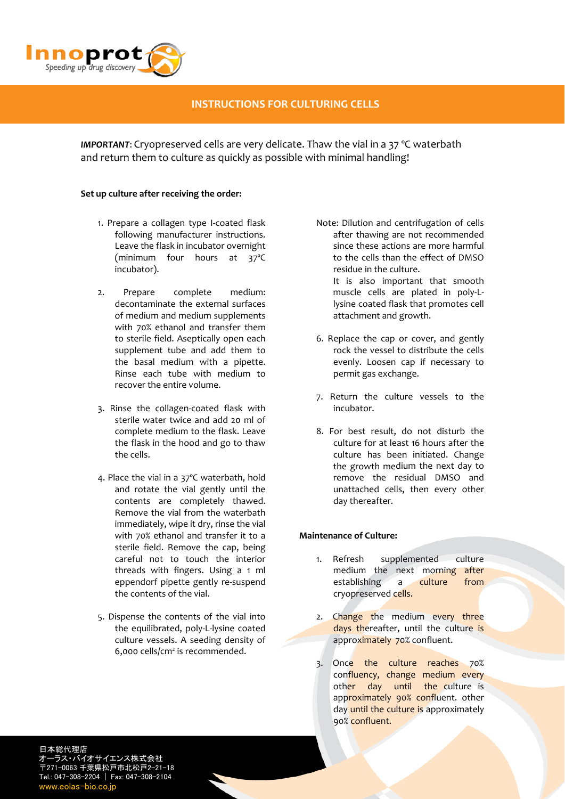

# **INSTRUCTIONS FOR CULTURING CELLS**

*IMPORTANT*: Cryopreserved cells are very delicate. Thaw the vial in a 37 ºC waterbath and return them to culture as quickly as possible with minimal handling!

### **Set up culture after receiving the order:**

- 1. Prepare a collagen type I‐coated flask following manufacturer instructions. Leave the flask in incubator overnight (minimum four hours at 37ºC incubator).
- 2. Prepare complete medium: decontaminate the external surfaces of medium and medium supplements with 70% ethanol and transfer them to sterile field. Aseptically open each supplement tube and add them to the basal medium with a pipette. Rinse each tube with medium to recover the entire volume.
- 3. Rinse the collagen‐coated flask with sterile water twice and add 20 ml of complete medium to the flask. Leave the flask in the hood and go to thaw the cells.
- 4. Place the vial in a 37ºC waterbath, hold and rotate the vial gently until the contents are completely thawed. Remove the vial from the waterbath immediately, wipe it dry, rinse the vial with 70% ethanol and transfer it to a sterile field. Remove the cap, being careful not to touch the interior threads with fingers. Using a 1 ml eppendorf pipette gently re‐suspend the contents of the vial.
- 5. Dispense the contents of the vial into the equilibrated, poly‐L‐lysine coated culture vessels. A seeding density of 6,000 cells/cm2 is recommended.

Note: Dilution and centrifugation of cells after thawing are not recommended since these actions are more harmful to the cells than the effect of DMSO residue in the culture.

It is also important that smooth muscle cells are plated in poly‐L‐ lysine coated flask that promotes cell attachment and growth.

- 6. Replace the cap or cover, and gently rock the vessel to distribute the cells evenly. Loosen cap if necessary to permit gas exchange.
- 7. Return the culture vessels to the incubator.
- 8. For best result, do not disturb the culture for at least 16 hours after the culture has been initiated. Change the growth medium the next day to remove the residual DMSO and unattached cells, then every other day thereafter.

### **Maintenance of Culture:**

- 1. Refresh supplemented culture medium the next morning after establishing a culture from cryopreserved cells.
- 2. Change the medium every three days thereafter, until the culture is approximately 70% confluent.
- 3. Once the culture reaches 70% confluency, change medium every other day until the culture is approximately 90% confluent. other day until the culture is approximately 90% confluent.

日本総代理店 オーラス・バイオサイエンス株式会社 〒271-0063 千葉県松戸市北松戸2-21-18 Tel.: 047-308-2204 | Fax: 047-308-2104 www.eolas-bio.co.